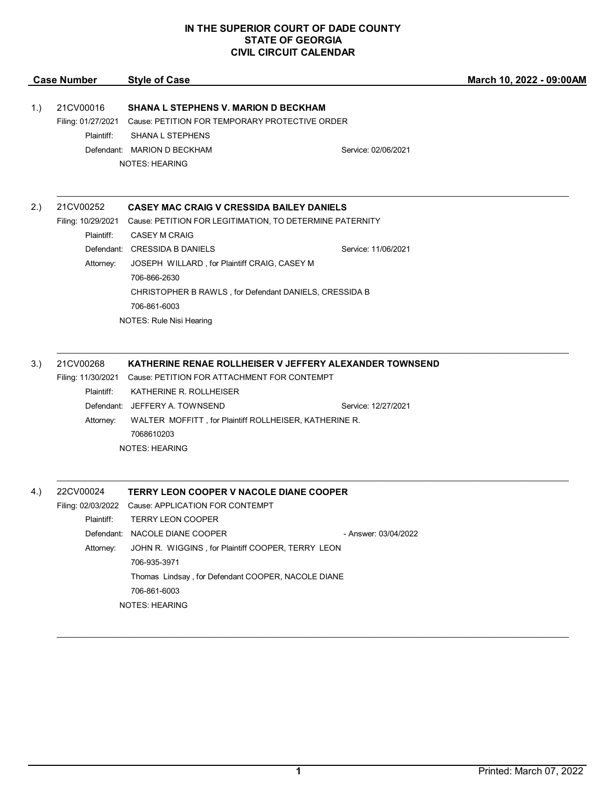## **IN THE SUPERIOR COURT OF DADE COUNTY STATE OF GEORGIA CIVIL CIRCUIT CALENDAR**

|      | <b>Case Number</b>                   | <b>Style of Case</b>                                                                                                                                                                                                                                                                          |                      | March 10, 2022 - 09:00AM |
|------|--------------------------------------|-----------------------------------------------------------------------------------------------------------------------------------------------------------------------------------------------------------------------------------------------------------------------------------------------|----------------------|--------------------------|
| (1.) | 21CV00016                            | <b>SHANA L STEPHENS V. MARION D BECKHAM</b><br>Filing: 01/27/2021 Cause: PETITION FOR TEMPORARY PROTECTIVE ORDER                                                                                                                                                                              |                      |                          |
|      | Plaintiff:                           | <b>SHANA L STEPHENS</b><br>Defendant: MARION D BECKHAM<br><b>NOTES: HEARING</b>                                                                                                                                                                                                               | Service: 02/06/2021  |                          |
| 2.)  | 21CV00252<br>Plaintiff:              | <b>CASEY MAC CRAIG V CRESSIDA BAILEY DANIELS</b><br>Filing: 10/29/2021 Cause: PETITION FOR LEGITIMATION, TO DETERMINE PATERNITY<br><b>CASEY M CRAIG</b>                                                                                                                                       |                      |                          |
|      | Attorney:                            | Defendant: CRESSIDA B DANIELS<br>JOSEPH WILLARD, for Plaintiff CRAIG, CASEY M<br>706-866-2630<br>CHRISTOPHER B RAWLS, for Defendant DANIELS, CRESSIDA B<br>706-861-6003<br>NOTES: Rule Nisi Hearing                                                                                           | Service: 11/06/2021  |                          |
| 3.)  | 21CV00268<br>Plaintiff:              | KATHERINE RENAE ROLLHEISER V JEFFERY ALEXANDER TOWNSEND<br>Filing: 11/30/2021 Cause: PETITION FOR ATTACHMENT FOR CONTEMPT<br>KATHERINE R. ROLLHEISER                                                                                                                                          |                      |                          |
|      | Attorney:                            | Defendant: JEFFERY A. TOWNSEND<br>WALTER MOFFITT, for Plaintiff ROLLHEISER, KATHERINE R.<br>7068610203<br><b>NOTES: HEARING</b>                                                                                                                                                               | Service: 12/27/2021  |                          |
| 4.)  | 22CV00024<br>Plaintiff:<br>Attorney: | <b>TERRY LEON COOPER V NACOLE DIANE COOPER</b><br>Filing: 02/03/2022 Cause: APPLICATION FOR CONTEMPT<br><b>TERRY LEON COOPER</b><br>Defendant: NACOLE DIANE COOPER<br>JOHN R. WIGGINS, for Plaintiff COOPER, TERRY LEON<br>706-935-3971<br>Thomas Lindsay, for Defendant COOPER, NACOLE DIANE | - Answer: 03/04/2022 |                          |
|      |                                      | 706-861-6003<br><b>NOTES: HEARING</b>                                                                                                                                                                                                                                                         |                      |                          |

 $\mathcal{L}_\mathcal{L} = \mathcal{L}_\mathcal{L} = \mathcal{L}_\mathcal{L} = \mathcal{L}_\mathcal{L} = \mathcal{L}_\mathcal{L} = \mathcal{L}_\mathcal{L} = \mathcal{L}_\mathcal{L} = \mathcal{L}_\mathcal{L} = \mathcal{L}_\mathcal{L} = \mathcal{L}_\mathcal{L} = \mathcal{L}_\mathcal{L} = \mathcal{L}_\mathcal{L} = \mathcal{L}_\mathcal{L} = \mathcal{L}_\mathcal{L} = \mathcal{L}_\mathcal{L} = \mathcal{L}_\mathcal{L} = \mathcal{L}_\mathcal{L}$